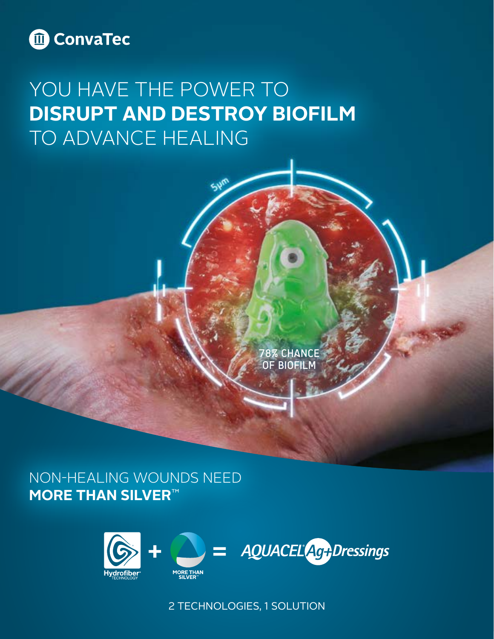

# YOU HAVE THE POWER TO **DISRUPT AND DESTROY BIOFILM**  TO ADVANCE HEALING

78% CHANCE OF BIOFILM

NON-HEALING WOUNDS NEED **MORE THAN SILVER**™



2 TECHNOLOGIES, 1 SOLUTION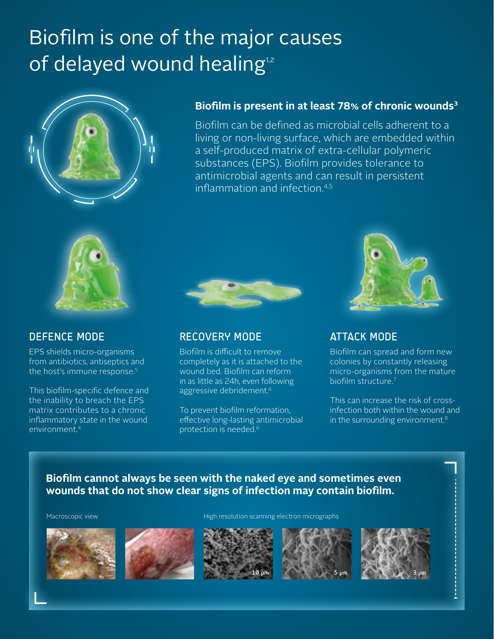# Biofilm is one of the major causes of delayed wound healing<sup>1,2</sup>



## **Biofilm is present in at least 78% of chronic wounds3**

Biofilm can be defined as microbial cells adherent to a living or non-living surface, which are embedded within a self-produced matrix of extra-cellular polymeric substances (EPS). Biofilm provides tolerance to antimicrobial agents and can result in persistent inflammation and infection.4,5



## DEFENCE MODE

EPS shields micro-organisms from antibiotics, antiseptics and the host's immune response.<sup>5</sup>

This biofilm-specific defence and the inability to breach the EPS matrix contributes to a chronic inflammatory state in the wound environment.4



## RECOVERY MODE

Biofilm is difficult to remove completely as it is attached to the wound bed. Biofilm can reform in as little as 24h, even following aggressive debridement.<sup>6</sup>

To prevent biofilm reformation, effective long-lasting antimicrobial protection is needed.6



# ATTACK MODE

Biofilm can spread and form new colonies by constantly releasing micro-organisms from the mature biofilm structure.7

This can increase the risk of crossinfection both within the wound and in the surrounding environment.<sup>8</sup>

## **Biofilm cannot always be seen with the naked eye and sometimes even wounds that do not show clear signs of infection may contain biofilm.**

Macroscopic view High resolution scanning electron micrographs









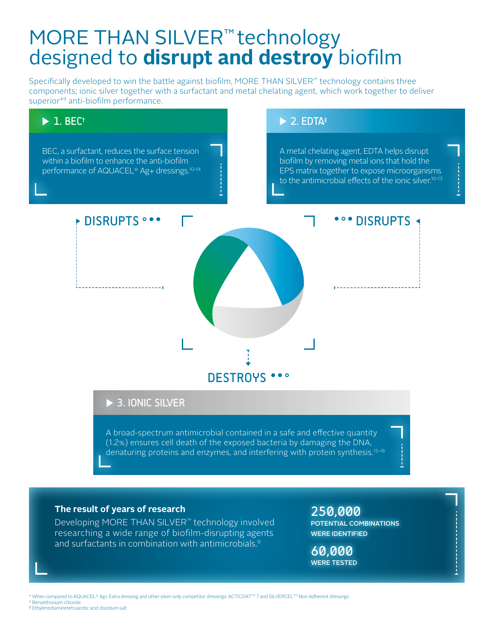# MORE THAN SILVER<sup>™</sup> technology designed to **disrupt and destroy** biofilm

Specifically developed to win the battle against biofilm, MORE THAN SILVER™ technology contains three components; ionic silver together with a surfactant and metal chelating agent, which work together to deliver superior\*9 anti-biofilm performance.

# **DISRUPTS** ... DESTROYS ••• **\*\*\* DISRUPTS <**  $\triangleright$  2. EDTA<sup>‡</sup> A metal chelating agent, EDTA helps disrupt biofilm by removing metal ions that hold the EPS matrix together to expose microorganisms to the antimicrobial effects of the ionic silver.<sup>10-13</sup>  $\blacktriangleright$  1. BEC<sup>†</sup> BEC, a surfactant, reduces the surface tension within a biofilm to enhance the anti-biofilm performance of AQUACEL® Ag+ dressings.10-14

# ▶ 3. IONIC SILVER

A broad-spectrum antimicrobial contained in a safe and effective quantity (1.2%) ensures cell death of the exposed bacteria by damaging the DNA, denaturing proteins and enzymes, and interfering with protein synthesis.<sup>15-16</sup>

### **The result of years of research**

Developing MORE THAN SILVER™ technology involved researching a wide range of biofilm-disrupting agents and surfactants in combination with antimicrobials.9

250,000 POTENTIAL COMBINATIONS WERE IDENTIFIED

60,000 WERE TESTED

When compared to AQUACEL® Ag+ Extra dressing and other silver-only competitor dressings: ACTICOAT™ 7 and SILVERCEL™ Non-Adherent dressings † Benzethonium chloride

‡ Ethylenediaminetetraacetic acid disodium salt